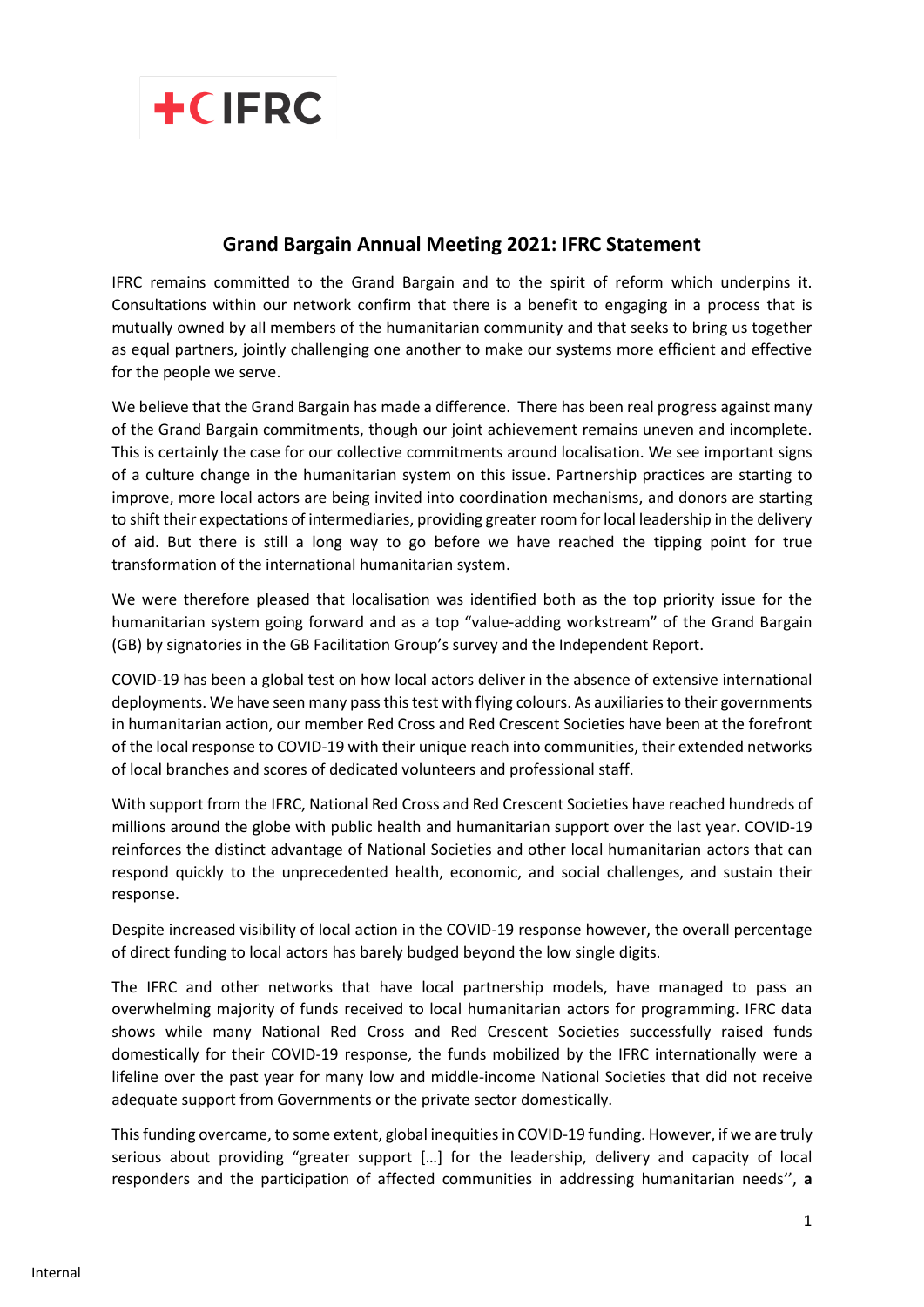

## **Grand Bargain Annual Meeting 2021: IFRC Statement**

IFRC remains committed to the Grand Bargain and to the spirit of reform which underpins it. Consultations within our network confirm that there is a benefit to engaging in a process that is mutually owned by all members of the humanitarian community and that seeks to bring us together as equal partners, jointly challenging one another to make our systems more efficient and effective for the people we serve.

We believe that the Grand Bargain has made a difference. There has been real progress against many of the Grand Bargain commitments, though our joint achievement remains uneven and incomplete. This is certainly the case for our collective commitments around localisation. We see important signs of a culture change in the humanitarian system on this issue. Partnership practices are starting to improve, more local actors are being invited into coordination mechanisms, and donors are starting to shift their expectations of intermediaries, providing greater room for local leadership in the delivery of aid. But there is still a long way to go before we have reached the tipping point for true transformation of the international humanitarian system.

We were therefore pleased that localisation was identified both as the top priority issue for the humanitarian system going forward and as a top "value-adding workstream" of the Grand Bargain (GB) by signatories in the GB Facilitation Group's survey and the Independent Report.

COVID-19 has been a global test on how local actors deliver in the absence of extensive international deployments. We have seen many pass this test with flying colours. As auxiliaries to their governments in humanitarian action, our member Red Cross and Red Crescent Societies have been at the forefront of the local response to COVID-19 with their unique reach into communities, their extended networks of local branches and scores of dedicated volunteers and professional staff.

With support from the IFRC, National Red Cross and Red Crescent Societies have reached hundreds of millions around the globe with public health and humanitarian support over the last year. COVID-19 reinforces the distinct advantage of National Societies and other local humanitarian actors that can respond quickly to the unprecedented health, economic, and social challenges, and sustain their response.

Despite increased visibility of local action in the COVID-19 response however, the overall percentage of direct funding to local actors has barely budged beyond the low single digits.

The IFRC and other networks that have local partnership models, have managed to pass an overwhelming majority of funds received to local humanitarian actors for programming. IFRC data shows while many National Red Cross and Red Crescent Societies successfully raised funds domestically for their COVID-19 response, the funds mobilized by the IFRC internationally were a lifeline over the past year for many low and middle-income National Societies that did not receive adequate support from Governments or the private sector domestically.

This funding overcame, to some extent, global inequities in COVID-19 funding. However, if we are truly serious about providing "greater support […] for the leadership, delivery and capacity of local responders and the participation of affected communities in addressing humanitarian needs'', **a**